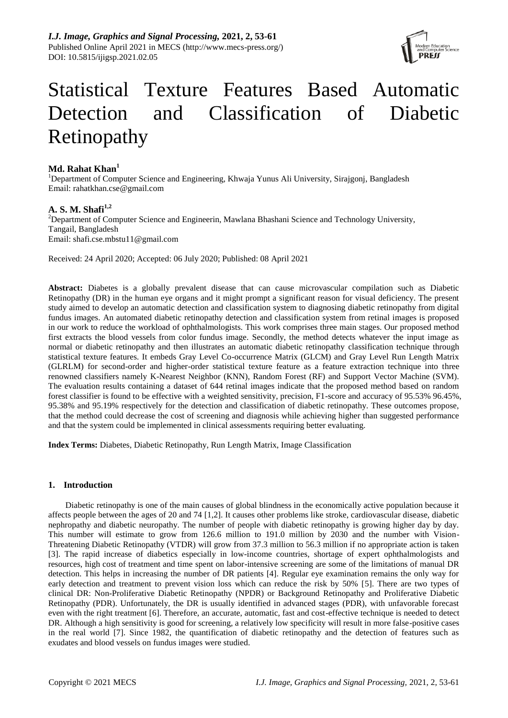*I.J. Image, Graphics and Signal Processing,* **2021, 2, 53-61** Published Online April 2021 in MECS (http://www.mecs-press.org/) DOI: 10.5815/ijigsp.2021.02.05



# Statistical Texture Features Based Automatic Detection and Classification of Diabetic Retinopathy

# **Md. Rahat Khan<sup>1</sup>**

<sup>1</sup>Department of Computer Science and Engineering, Khwaja Yunus Ali University, Sirajgonj, Bangladesh Email: rahatkhan.cse@gmail.com

# **A. S. M. Shafi1,2**

<sup>2</sup>Department of Computer Science and Engineerin, Mawlana Bhashani Science and Technology University, Tangail, Bangladesh Email: shafi.cse.mbstu11@gmail.com

Received: 24 April 2020; Accepted: 06 July 2020; Published: 08 April 2021

**Abstract:** Diabetes is a globally prevalent disease that can cause microvascular compilation such as Diabetic Retinopathy (DR) in the human eye organs and it might prompt a significant reason for visual deficiency. The present study aimed to develop an automatic detection and classification system to diagnosing diabetic retinopathy from digital fundus images. An automated diabetic retinopathy detection and classification system from retinal images is proposed in our work to reduce the workload of ophthalmologists. This work comprises three main stages. Our proposed method first extracts the blood vessels from color fundus image. Secondly, the method detects whatever the input image as normal or diabetic retinopathy and then illustrates an automatic diabetic retinopathy classification technique through statistical texture features. It embeds Gray Level Co-occurrence Matrix (GLCM) and Gray Level Run Length Matrix (GLRLM) for second-order and higher-order statistical texture feature as a feature extraction technique into three renowned classifiers namely K-Nearest Neighbor (KNN), Random Forest (RF) and Support Vector Machine (SVM). The evaluation results containing a dataset of 644 retinal images indicate that the proposed method based on random forest classifier is found to be effective with a weighted sensitivity, precision, F1-score and accuracy of 95.53% 96.45%, 95.38% and 95.19% respectively for the detection and classification of diabetic retinopathy. These outcomes propose, that the method could decrease the cost of screening and diagnosis while achieving higher than suggested performance and that the system could be implemented in clinical assessments requiring better evaluating.

**Index Terms:** Diabetes, Diabetic Retinopathy, Run Length Matrix, Image Classification

# **1. Introduction**

Diabetic retinopathy is one of the main causes of global blindness in the economically active population because it affects people between the ages of 20 and 74 [1,2]. It causes other problems like stroke, cardiovascular disease, diabetic nephropathy and diabetic neuropathy. The number of people with diabetic retinopathy is growing higher day by day. This number will estimate to grow from 126.6 million to 191.0 million by 2030 and the number with Vision-Threatening Diabetic Retinopathy (VTDR) will grow from 37.3 million to 56.3 million if no appropriate action is taken [3]. The rapid increase of diabetics especially in low-income countries, shortage of expert ophthalmologists and resources, high cost of treatment and time spent on labor-intensive screening are some of the limitations of manual DR detection. This helps in increasing the number of DR patients [4]. Regular eye examination remains the only way for early detection and treatment to prevent vision loss which can reduce the risk by 50% [5]. There are two types of clinical DR: Non-Proliferative Diabetic Retinopathy (NPDR) or Background Retinopathy and Proliferative Diabetic Retinopathy (PDR). Unfortunately, the DR is usually identified in advanced stages (PDR), with unfavorable forecast even with the right treatment [6]. Therefore, an accurate, automatic, fast and cost-effective technique is needed to detect DR. Although a high sensitivity is good for screening, a relatively low specificity will result in more false-positive cases in the real world [7]. Since 1982, the quantification of diabetic retinopathy and the detection of features such as exudates and blood vessels on fundus images were studied.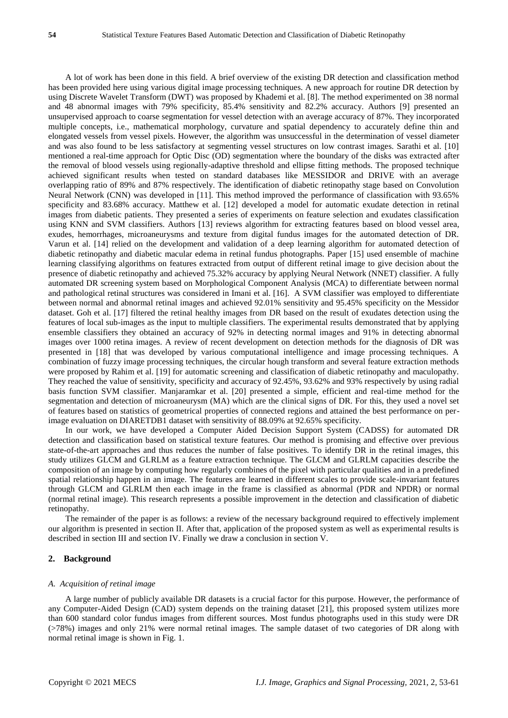A lot of work has been done in this field. A brief overview of the existing DR detection and classification method has been provided here using various digital image processing techniques. A new approach for routine DR detection by using Discrete Wavelet Transform (DWT) was proposed by Khademi et al. [8]. The method experimented on 38 normal and 48 abnormal images with 79% specificity, 85.4% sensitivity and 82.2% accuracy. Authors [9] presented an unsupervised approach to coarse segmentation for vessel detection with an average accuracy of 87%. They incorporated multiple concepts, i.e., mathematical morphology, curvature and spatial dependency to accurately define thin and elongated vessels from vessel pixels. However, the algorithm was unsuccessful in the determination of vessel diameter and was also found to be less satisfactory at segmenting vessel structures on low contrast images. Sarathi et al. [10] mentioned a real-time approach for Optic Disc (OD) segmentation where the boundary of the disks was extracted after the removal of blood vessels using regionally-adaptive threshold and ellipse fitting methods. The proposed technique achieved significant results when tested on standard databases like MESSIDOR and DRIVE with an average overlapping ratio of 89% and 87% respectively. The identification of diabetic retinopathy stage based on Convolution Neural Network (CNN) was developed in [11]. This method improved the performance of classification with 93.65% specificity and 83.68% accuracy. Matthew et al. [12] developed a model for automatic exudate detection in retinal images from diabetic patients. They presented a series of experiments on feature selection and exudates classification using KNN and SVM classifiers. Authors [13] reviews algorithm for extracting features based on blood vessel area, exudes, hemorrhages, microaneurysms and texture from digital fundus images for the automated detection of DR. Varun et al. [14] relied on the development and validation of a deep learning algorithm for automated detection of diabetic retinopathy and diabetic macular edema in retinal fundus photographs. Paper [15] used ensemble of machine learning classifying algorithms on features extracted from output of different retinal image to give decision about the presence of diabetic retinopathy and achieved 75.32% accuracy by applying Neural Network (NNET) classifier. A fully automated DR screening system based on Morphological Component Analysis (MCA) to differentiate between normal and pathological retinal structures was considered in Imani et al. [16]. A SVM classifier was employed to differentiate between normal and abnormal retinal images and achieved 92.01% sensitivity and 95.45% specificity on the Messidor dataset. Goh et al. [17] filtered the retinal healthy images from DR based on the result of exudates detection using the features of local sub-images as the input to multiple classifiers. The experimental results demonstrated that by applying ensemble classifiers they obtained an accuracy of 92% in detecting normal images and 91% in detecting abnormal images over 1000 retina images. A review of recent development on detection methods for the diagnosis of DR was presented in [18] that was developed by various computational intelligence and image processing techniques. A combination of fuzzy image processing techniques, the circular hough transform and several feature extraction methods were proposed by Rahim et al. [19] for automatic screening and classification of diabetic retinopathy and maculopathy. They reached the value of sensitivity, specificity and accuracy of 92.45%, 93.62% and 93% respectively by using radial basis function SVM classifier. Manjaramkar et al. [20] presented a simple, efficient and real-time method for the segmentation and detection of microaneurysm (MA) which are the clinical signs of DR. For this, they used a novel set of features based on statistics of geometrical properties of connected regions and attained the best performance on perimage evaluation on DIARETDB1 dataset with sensitivity of 88.09% at 92.65% specificity.

In our work, we have developed a Computer Aided Decision Support System (CADSS) for automated DR detection and classification based on statistical texture features. Our method is promising and effective over previous state-of-the-art approaches and thus reduces the number of false positives. To identify DR in the retinal images, this study utilizes GLCM and GLRLM as a feature extraction technique. The GLCM and GLRLM capacities describe the composition of an image by computing how regularly combines of the pixel with particular qualities and in a predefined spatial relationship happen in an image. The features are learned in different scales to provide scale-invariant features through GLCM and GLRLM then each image in the frame is classified as abnormal (PDR and NPDR) or normal (normal retinal image). This research represents a possible improvement in the detection and classification of diabetic retinopathy.

The remainder of the paper is as follows: a review of the necessary background required to effectively implement our algorithm is presented in section II. After that, application of the proposed system as well as experimental results is described in section III and section IV. Finally we draw a conclusion in section V.

## **2. Background**

#### *A. Acquisition of retinal image*

A large number of publicly available DR datasets is a crucial factor for this purpose. However, the performance of any Computer-Aided Design (CAD) system depends on the training dataset [21], this proposed system utilizes more than 600 standard color fundus images from different sources. Most fundus photographs used in this study were DR (>78%) images and only 21% were normal retinal images. The sample dataset of two categories of DR along with normal retinal image is shown in Fig. 1.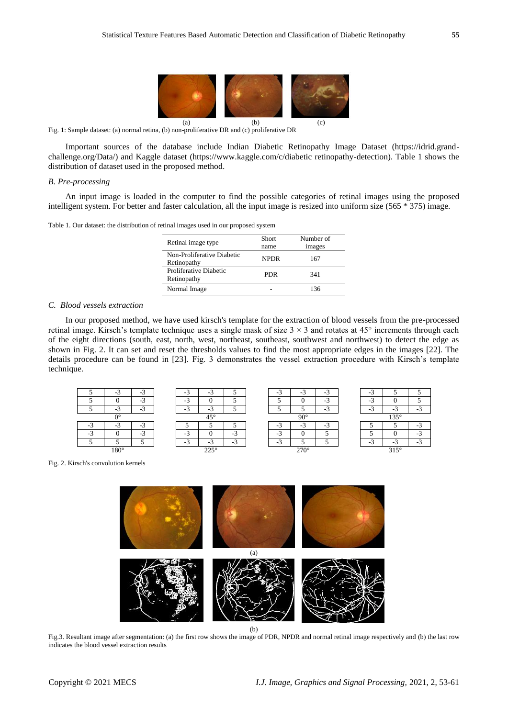

Fig. 1: Sample dataset: (a) normal retina, (b) non-proliferative DR and (c) proliferative DR

Important sources of the database include Indian Diabetic Retinopathy Image Dataset (https://idrid.grandchallenge.org/Data/) and Kaggle dataset (https://www.kaggle.com/c/diabetic retinopathy-detection). Table 1 shows the distribution of dataset used in the proposed method.

#### *B. Pre-processing*

An input image is loaded in the computer to find the possible categories of retinal images using the proposed intelligent system. For better and faster calculation, all the input image is resized into uniform size (565 \* 375) image.

| Table 1. Our dataset: the distribution of retinal images used in our proposed system |  |  |
|--------------------------------------------------------------------------------------|--|--|
|--------------------------------------------------------------------------------------|--|--|

| Retinal image type                        | Short<br>name | Number of<br>images |
|-------------------------------------------|---------------|---------------------|
| Non-Proliferative Diabetic<br>Retinopathy | NPDR.         | 167                 |
| Proliferative Diabetic<br>Retinopathy     | PDR           | 341                 |
| Normal Image                              |               | 136                 |

## *C. Blood vessels extraction*

In our proposed method, we have used kirsch's template for the extraction of blood vessels from the pre-processed retinal image. Kirsch's template technique uses a single mask of size  $3 \times 3$  and rotates at  $45^\circ$  increments through each of the eight directions (south, east, north, west, northeast, southeast, southwest and northwest) to detect the edge as shown in Fig. 2. It can set and reset the thresholds values to find the most appropriate edges in the images [22]. The details procedure can be found in [23]. Fig. 3 demonstrates the vessel extraction procedure with Kirsch's template technique.



Fig. 2. Kirsch's convolution kernels



(b)

Fig.3. Resultant image after segmentation: (a) the first row shows the image of PDR, NPDR and normal retinal image respectively and (b) the last row indicates the blood vessel extraction results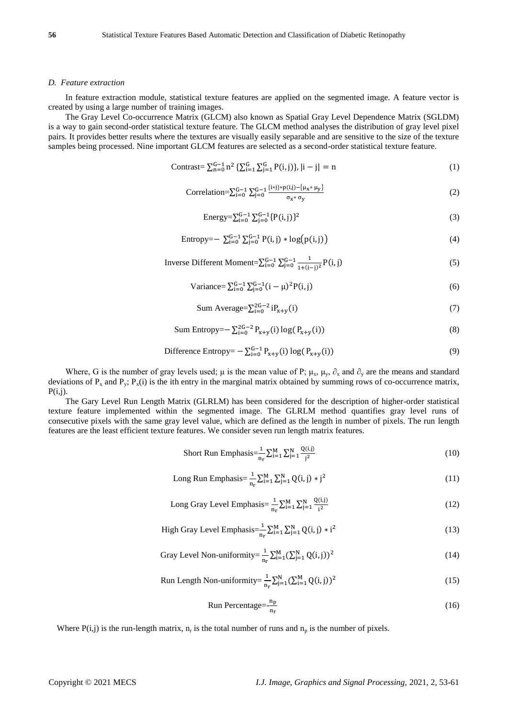# *D. Feature extraction*

In feature extraction module, statistical texture features are applied on the segmented image. A feature vector is created by using a large number of training images.

The Gray Level Co-occurrence Matrix (GLCM) also known as Spatial Gray Level Dependence Matrix (SGLDM) is a way to gain second-order statistical texture feature. The GLCM method analyses the distribution of gray level pixel pairs. It provides better results where the textures are visually easily separable and are sensitive to the size of the texture samples being processed. Nine important GLCM features are selected as a second-order statistical texture feature.

Contrast=
$$
\sum_{n=0}^{G-1} n^2 {\sum_{i=1}^{G} \sum_{j=1}^{G} P(i,j)}, |i - j| = n
$$
 (1)

Correlation=
$$
\sum_{i=0}^{G-1} \sum_{j=0}^{G-1} \frac{\{i * j\} * p(i,j) - \{\mu_x * \mu_y\}}{\sigma_x * \sigma_y}
$$
 (2)

Energy=
$$
\sum_{i=0}^{G-1} \sum_{j=0}^{G-1} \{P(i,j)\}^2
$$
 (3)

Entropy=- 
$$
\sum_{i=0}^{G-1} \sum_{j=0}^{G-1} P(i, j) * log(p(i, j))
$$
 (4)

Inverse Different Moment=
$$
\sum_{i=0}^{G-1} \sum_{j=0}^{G-1} \frac{1}{1+(i-j)^2} P(i,j)
$$
 (5)

Variance = 
$$
\sum_{i=0}^{G-1} \sum_{j=0}^{G-1} (i - \mu)^2 P(i, j)
$$
 (6)

$$
\text{Sum Average} = \sum_{i=0}^{2G-2} \text{i}P_{x+y}(i) \tag{7}
$$

Sum Entropy=
$$
\sum_{i=0}^{2G-2} P_{x+y}(i) \log(P_{x+y}(i))
$$
\n(8)

$$
\text{Difference Entropy} = -\sum_{i=0}^{G-1} P_{x+y}(i) \log(P_{x+y}(i)) \tag{9}
$$

Where, G is the number of gray levels used;  $\mu$  is the mean value of P;  $\mu_x$ ,  $\mu_y$ ,  $\partial_x$  and  $\partial_y$  are the means and standard deviations of  $P_x$  and  $P_y$ ;  $P_x(i)$  is the ith entry in the marginal matrix obtained by summing rows of co-occurrence matrix,  $P(i,j)$ .

The Gary Level Run Length Matrix (GLRLM) has been considered for the description of higher-order statistical texture feature implemented within the segmented image. The GLRLM method quantifies gray level runs of consecutive pixels with the same gray level value, which are defined as the length in number of pixels. The run length features are the least efficient texture features. We consider seven run length matrix features.

Short Run Emphasis=
$$
\frac{1}{n_{r}}\sum_{i=1}^{M}\sum_{j=1}^{N}\frac{Q(i,j)}{j^{2}}
$$
(10)

Long Run Emphasis=
$$
\frac{1}{n_r} \sum_{i=1}^{M} \sum_{j=1}^{N} Q(i, j) * j^2
$$
 (11)

Long Gray Level Emphasis=
$$
\frac{1}{n_{r}}\sum_{i=1}^{M}\sum_{j=1}^{N}\frac{Q(i,j)}{i^{2}}
$$
(12)

High Gray Level Emphasis=
$$
\frac{1}{n_r} \sum_{i=1}^{M} \sum_{j=1}^{N} Q(i,j) * i^2
$$
 (13)

Gray Level Non-uniformity=
$$
\frac{1}{n_r} \sum_{i=1}^{M} (\sum_{j=1}^{N} Q(i,j))^2
$$
 (14)

Run Length Non-uniformity=
$$
\frac{1}{n_r} \sum_{j=1}^{N} (\sum_{i=1}^{M} Q(i,j))^2
$$
 (15)

Run Percentage=
$$
\frac{n_p}{n_r}
$$
 (16)

Where  $P(i,j)$  is the run-length matrix,  $n_r$  is the total number of runs and  $n_p$  is the number of pixels.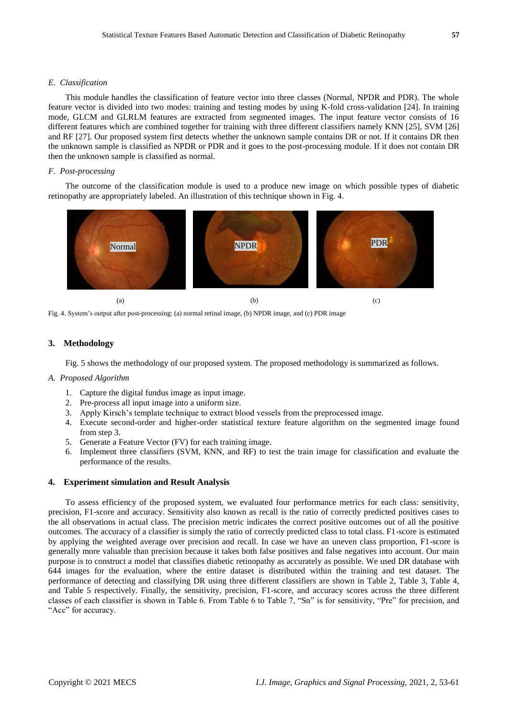#### *E. Classification*

This module handles the classification of feature vector into three classes (Normal, NPDR and PDR). The whole feature vector is divided into two modes: training and testing modes by using K-fold cross-validation [24]. In training mode, GLCM and GLRLM features are extracted from segmented images. The input feature vector consists of 16 different features which are combined together for training with three different classifiers namely KNN [25], SVM [26] and RF [27]. Our proposed system first detects whether the unknown sample contains DR or not. If it contains DR then the unknown sample is classified as NPDR or PDR and it goes to the post-processing module. If it does not contain DR then the unknown sample is classified as normal.

## *F. Post-processing*

The outcome of the classification module is used to a produce new image on which possible types of diabetic retinopathy are appropriately labeled. An illustration of this technique shown in Fig. 4.



Fig. 4. System's output after post-processing: (a) normal retinal image, (b) NPDR image, and (c) PDR image

## **3. Methodology**

Fig. 5 shows the methodology of our proposed system. The proposed methodology is summarized as follows.

#### *A. Proposed Algorithm*

- 1. Capture the digital fundus image as input image.
- 2. Pre-process all input image into a uniform size.
- 3. Apply Kirsch's template technique to extract blood vessels from the preprocessed image.
- 4. Execute second-order and higher-order statistical texture feature algorithm on the segmented image found from step 3.
- 5. Generate a Feature Vector (FV) for each training image.
- 6. Implement three classifiers (SVM, KNN, and RF) to test the train image for classification and evaluate the performance of the results.

#### **4. Experiment simulation and Result Analysis**

To assess efficiency of the proposed system, we evaluated four performance metrics for each class: sensitivity, precision, F1-score and accuracy. Sensitivity also known as recall is the ratio of correctly predicted positives cases to the all observations in actual class. The precision metric indicates the correct positive outcomes out of all the positive outcomes. The accuracy of a classifier is simply the ratio of correctly predicted class to total class. F1-score is estimated by applying the weighted average over precision and recall. In case we have an uneven class proportion, F1-score is generally more valuable than precision because it takes both false positives and false negatives into account. Our main purpose is to construct a model that classifies diabetic retinopathy as accurately as possible. We used DR database with 644 images for the evaluation, where the entire dataset is distributed within the training and test dataset. The performance of detecting and classifying DR using three different classifiers are shown in Table 2, Table 3, Table 4, and Table 5 respectively. Finally, the sensitivity, precision, F1-score, and accuracy scores across the three different classes of each classifier is shown in Table 6. From Table 6 to Table 7, "Sn" is for sensitivity, "Pre" for precision, and "Acc" for accuracy.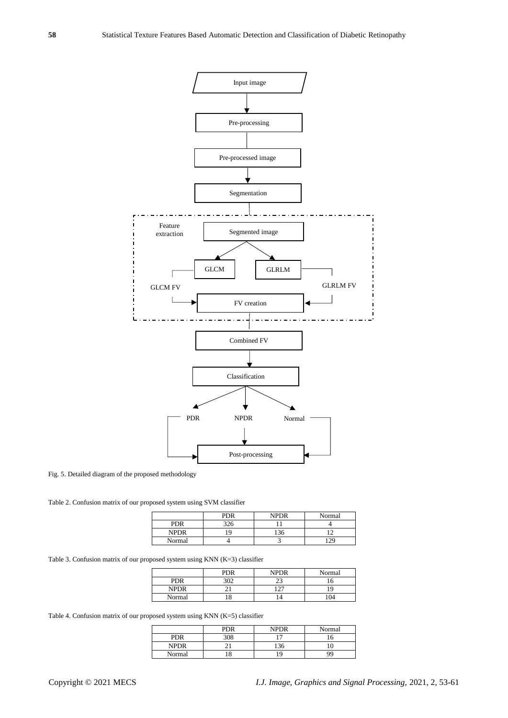

Fig. 5. Detailed diagram of the proposed methodology

Table 2. Confusion matrix of our proposed system using SVM classifier

|             | <b>PDR</b> | <b>NPDR</b> | Normal |
|-------------|------------|-------------|--------|
| <b>PDR</b>  | 326        |             |        |
| <b>NPDR</b> | q          | 122         |        |
| Normal      |            |             |        |

Table 3. Confusion matrix of our proposed system using KNN (K=3) classifier

|             | PDR | <b>NPDR</b>    | Normal |
|-------------|-----|----------------|--------|
| <b>PDR</b>  | 302 | $\mathcal{L}$  |        |
| <b>NPDR</b> |     | $\cdot$ $\sim$ |        |
| Normal      | 10  |                | 04     |

Table 4. Confusion matrix of our proposed system using KNN (K=5) classifier

|             | <b>PDR</b> | <b>NPDR</b> | Normal |
|-------------|------------|-------------|--------|
| PDR         | 308        | ∽           |        |
| <b>NPDR</b> |            |             |        |
| Normal      | 10         |             |        |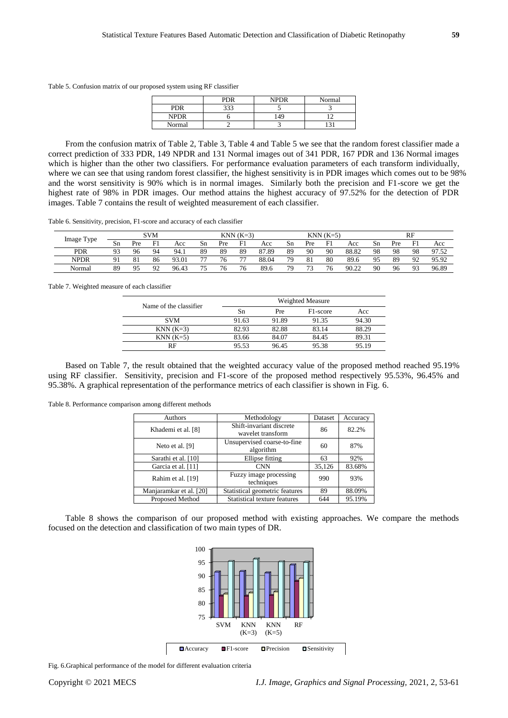Table 5. Confusion matrix of our proposed system using RF classifier

|             | PDR | <b>NPDR</b> | Normal |
|-------------|-----|-------------|--------|
| <b>PDR</b>  | つつつ |             |        |
| <b>NPDR</b> |     | 49          |        |
| Normal      |     |             |        |

From the confusion matrix of Table 2, Table 3, Table 4 and Table 5 we see that the random forest classifier made a correct prediction of 333 PDR, 149 NPDR and 131 Normal images out of 341 PDR, 167 PDR and 136 Normal images which is higher than the other two classifiers. For performance evaluation parameters of each transform individually, where we can see that using random forest classifier, the highest sensitivity is in PDR images which comes out to be 98% and the worst sensitivity is 90% which is in normal images. Similarly both the precision and F1-score we get the highest rate of 98% in PDR images. Our method attains the highest accuracy of 97.52% for the detection of PDR images. Table 7 contains the result of weighted measurement of each classifier.

Table 6. Sensitivity, precision, F1-score and accuracy of each classifier

|                         |                |     | <b>SVM</b>     |       |    |     | $KNN(K=3)$               |       |    |     | $KNN(K=5)$ |       |    |     | RF                     |       |
|-------------------------|----------------|-----|----------------|-------|----|-----|--------------------------|-------|----|-----|------------|-------|----|-----|------------------------|-------|
| Image Type<br><b>νκ</b> | Sn             | Pre | F1             | Acc   | Sn | Pre | F1                       | Acc   | Sn | Pre | F1         | Acc   | Sn | Pre | F1                     | Acc   |
| <b>PDR</b>              | Q <sub>2</sub> | 96  | 94             | 94.1  | 89 | 89  | 89                       | 87.89 | 89 | 90  | 90         | 88.82 | 98 | 98  | 98                     | 97.52 |
| <b>NPDR</b>             | Q 1            |     | 86             | 93.01 | 77 | 76  | $\overline{\phantom{a}}$ | 88.04 | 79 | 81  | 80         | 89.6  | 95 | 89  | $\Omega$<br>, <u>,</u> | 95.92 |
| Normal                  | 89             | Q5  | Q <sub>2</sub> | 96.43 | 75 | 76  |                          | 89.6  | 79 | 73  | 76         | 90.22 | 90 | 96  | 93                     | 96.89 |

Table 7. Weighted measure of each classifier

| Name of the classifier |       |       | Weighted Measure      |       |
|------------------------|-------|-------|-----------------------|-------|
|                        | Sn    | Pre   | F <sub>1</sub> -score | Acc   |
| <b>SVM</b>             | 91.63 | 91.89 | 91.35                 | 94.30 |
| $KNN(K=3)$             | 82.93 | 82.88 | 83.14                 | 88.29 |
| $KNN(K=5)$             | 83.66 | 84.07 | 84.45                 | 89.31 |
| RF                     | 95.53 | 96.45 | 95.38                 | 95.19 |

Based on Table 7, the result obtained that the weighted accuracy value of the proposed method reached 95.19% using RF classifier. Sensitivity, precision and F1-score of the proposed method respectively 95.53%, 96.45% and 95.38%. A graphical representation of the performance metrics of each classifier is shown in Fig. 6.

Table 8. Performance comparison among different methods

| Authors                 | Methodology                                   | Dataset | Accuracy |
|-------------------------|-----------------------------------------------|---------|----------|
| Khademi et al. [8]      | Shift-invariant discrete<br>wavelet transform | 86      | 82.2%    |
| Neto et al. [9]         | Unsupervised coarse-to-fine<br>algorithm      |         | 87%      |
| Sarathi et al. [10]     | Ellipse fitting                               | 63      | 92%      |
| Garcia et al. [11]      | <b>CNN</b>                                    | 35,126  | 83.68%   |
| Rahim et al. [19]       | Fuzzy image processing<br>techniques          | 990     | 93%      |
| Manjaramkar et al. [20] | Statistical geometric features                | 89      | 88.09%   |
| Proposed Method         | Statistical texture features                  | 644     | 95.19%   |

Table 8 shows the comparison of our proposed method with existing approaches. We compare the methods focused on the detection and classification of two main types of DR.



Fig. 6.Graphical performance of the model for different evaluation criteria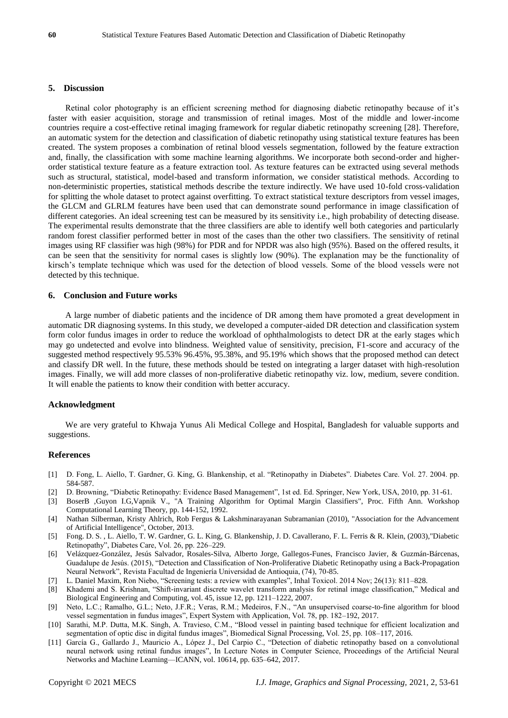# **5. Discussion**

Retinal color photography is an efficient screening method for diagnosing diabetic retinopathy because of it's faster with easier acquisition, storage and transmission of retinal images. Most of the middle and lower-income countries require a cost-effective retinal imaging framework for regular diabetic retinopathy screening [28]. Therefore, an automatic system for the detection and classification of diabetic retinopathy using statistical texture features has been created. The system proposes a combination of retinal blood vessels segmentation, followed by the feature extraction and, finally, the classification with some machine learning algorithms. We incorporate both second-order and higherorder statistical texture feature as a feature extraction tool. As texture features can be extracted using several methods such as structural, statistical, model-based and transform information, we consider statistical methods. According to non-deterministic properties, statistical methods describe the texture indirectly. We have used 10-fold cross-validation for splitting the whole dataset to protect against overfitting. To extract statistical texture descriptors from vessel images, the GLCM and GLRLM features have been used that can demonstrate sound performance in image classification of different categories. An ideal screening test can be measured by its sensitivity i.e., high probability of detecting disease. The experimental results demonstrate that the three classifiers are able to identify well both categories and particularly random forest classifier performed better in most of the cases than the other two classifiers. The sensitivity of retinal images using RF classifier was high (98%) for PDR and for NPDR was also high (95%). Based on the offered results, it can be seen that the sensitivity for normal cases is slightly low (90%). The explanation may be the functionality of kirsch's template technique which was used for the detection of blood vessels. Some of the blood vessels were not detected by this technique.

# **6. Conclusion and Future works**

A large number of diabetic patients and the incidence of DR among them have promoted a great development in automatic DR diagnosing systems. In this study, we developed a computer-aided DR detection and classification system form color fundus images in order to reduce the workload of ophthalmologists to detect DR at the early stages which may go undetected and evolve into blindness. Weighted value of sensitivity, precision, F1-score and accuracy of the suggested method respectively 95.53% 96.45%, 95.38%, and 95.19% which shows that the proposed method can detect and classify DR well. In the future, these methods should be tested on integrating a larger dataset with high-resolution images. Finally, we will add more classes of non-proliferative diabetic retinopathy viz. low, medium, severe condition. It will enable the patients to know their condition with better accuracy.

#### **Acknowledgment**

We are very grateful to Khwaja Yunus Ali Medical College and Hospital, Bangladesh for valuable supports and suggestions.

#### **References**

- [1] D. Fong, L. Aiello, T. Gardner, G. King, G. Blankenship, et al. "Retinopathy in Diabetes". Diabetes Care. Vol. 27. 2004. pp. 584-587.
- [2] D. Browning, "Diabetic Retinopathy: Evidence Based Management", 1st ed. Ed. Springer, New York, USA, 2010, pp. 31-61.
- [3] BoserB ,Guyon I.G,Vapnik V., "A Training Algorithm for Optimal Margin Classifiers", Proc. Fifth Ann. Workshop Computational Learning Theory, pp. 144-152, 1992.
- [4] Nathan Silberman, Kristy Ahlrich, Rob Fergus & Lakshminarayanan Subramanian (2010), "Association for the Advancement of Artificial Intelligence", October, 2013.
- [5] Fong. D. S. , L. Aiello, T. W. Gardner, G. L. King, G. Blankenship, J. D. Cavallerano, F. L. Ferris & R. Klein, (2003),"Diabetic Retinopathy", Diabetes Care, Vol. 26, pp. 226–229.
- [6] Velázquez-González, Jesús Salvador, Rosales-Silva, Alberto Jorge, Gallegos-Funes, Francisco Javier, & Guzmán-Bárcenas, Guadalupe de Jesús. (2015), "Detection and Classification of Non-Proliferative Diabetic Retinopathy using a Back-Propagation Neural Network", Revista Facultad de Ingeniería Universidad de Antioquia, (74), 70-85.
- [7] L. Daniel Maxim, Ron Niebo, "Screening tests: a review with examples", Inhal Toxicol. 2014 Nov; 26(13): 811–828.
- [8] Khademi and S. Krishnan, "Shift-invariant discrete wavelet transform analysis for retinal image classification," Medical and Biological Engineering and Computing, vol. 45, issue 12, pp. 1211–1222, 2007.
- [9] Neto, L.C.; Ramalho, G.L.; Neto, J.F.R.; Veras, R.M.; Medeiros, F.N., "An unsupervised coarse-to-fine algorithm for blood vessel segmentation in fundus images", Expert System with Application, Vol. 78, pp. 182–192, 2017.
- [10] Sarathi, M.P. Dutta, M.K. Singh, A. Travieso, C.M., "Blood vessel in painting based technique for efficient localization and segmentation of optic disc in digital fundus images", Biomedical Signal Processing, Vol. 25, pp. 108–117, 2016.
- [11] García G., Gallardo J., Mauricio A., López J., Del Carpio C., "Detection of diabetic retinopathy based on a convolutional neural network using retinal fundus images", In Lecture Notes in Computer Science, Proceedings of the Artificial Neural Networks and Machine Learning—ICANN, vol. 10614, pp. 635–642, 2017.